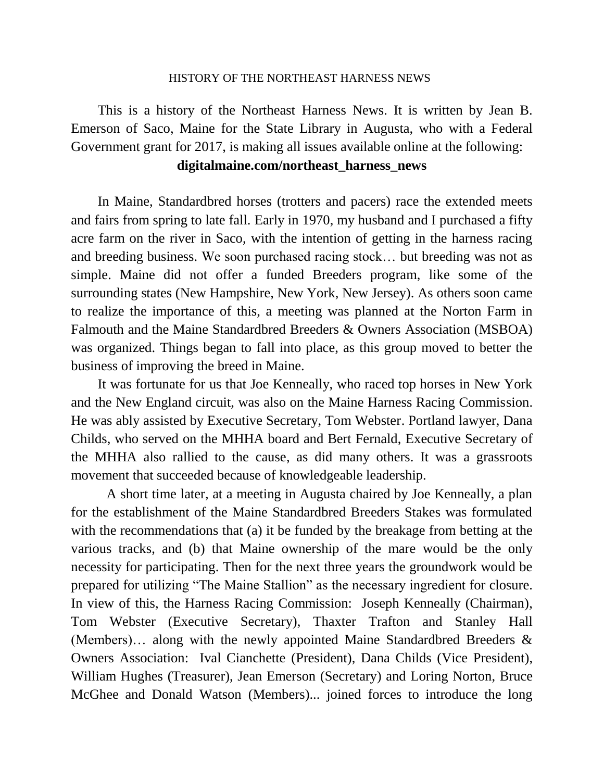## HISTORY OF THE NORTHEAST HARNESS NEWS

This is a history of the Northeast Harness News. It is written by Jean B. Emerson of Saco, Maine for the State Library in Augusta, who with a Federal Government grant for 2017, is making all issues available online at the following:

## **digitalmaine.com/northeast\_harness\_news**

In Maine, Standardbred horses (trotters and pacers) race the extended meets and fairs from spring to late fall. Early in 1970, my husband and I purchased a fifty acre farm on the river in Saco, with the intention of getting in the harness racing and breeding business. We soon purchased racing stock… but breeding was not as simple. Maine did not offer a funded Breeders program, like some of the surrounding states (New Hampshire, New York, New Jersey). As others soon came to realize the importance of this, a meeting was planned at the Norton Farm in Falmouth and the Maine Standardbred Breeders & Owners Association (MSBOA) was organized. Things began to fall into place, as this group moved to better the business of improving the breed in Maine.

It was fortunate for us that Joe Kenneally, who raced top horses in New York and the New England circuit, was also on the Maine Harness Racing Commission. He was ably assisted by Executive Secretary, Tom Webster. Portland lawyer, Dana Childs, who served on the MHHA board and Bert Fernald, Executive Secretary of the MHHA also rallied to the cause, as did many others. It was a grassroots movement that succeeded because of knowledgeable leadership.

A short time later, at a meeting in Augusta chaired by Joe Kenneally, a plan for the establishment of the Maine Standardbred Breeders Stakes was formulated with the recommendations that (a) it be funded by the breakage from betting at the various tracks, and (b) that Maine ownership of the mare would be the only necessity for participating. Then for the next three years the groundwork would be prepared for utilizing "The Maine Stallion" as the necessary ingredient for closure. In view of this, the Harness Racing Commission: Joseph Kenneally (Chairman), Tom Webster (Executive Secretary), Thaxter Trafton and Stanley Hall (Members)… along with the newly appointed Maine Standardbred Breeders & Owners Association: Ival Cianchette (President), Dana Childs (Vice President), William Hughes (Treasurer), Jean Emerson (Secretary) and Loring Norton, Bruce McGhee and Donald Watson (Members)... joined forces to introduce the long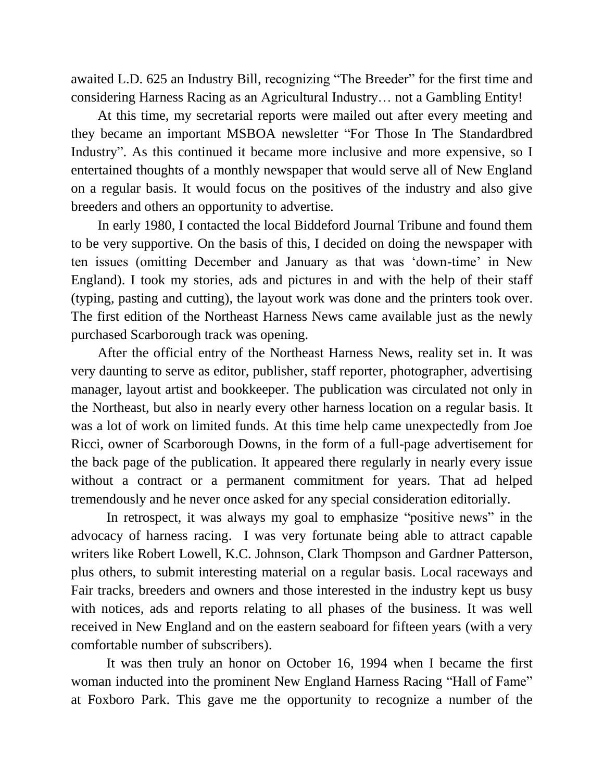awaited L.D. 625 an Industry Bill, recognizing "The Breeder" for the first time and considering Harness Racing as an Agricultural Industry… not a Gambling Entity!

At this time, my secretarial reports were mailed out after every meeting and they became an important MSBOA newsletter "For Those In The Standardbred Industry". As this continued it became more inclusive and more expensive, so I entertained thoughts of a monthly newspaper that would serve all of New England on a regular basis. It would focus on the positives of the industry and also give breeders and others an opportunity to advertise.

In early 1980, I contacted the local Biddeford Journal Tribune and found them to be very supportive. On the basis of this, I decided on doing the newspaper with ten issues (omitting December and January as that was 'down-time' in New England). I took my stories, ads and pictures in and with the help of their staff (typing, pasting and cutting), the layout work was done and the printers took over. The first edition of the Northeast Harness News came available just as the newly purchased Scarborough track was opening.

After the official entry of the Northeast Harness News, reality set in. It was very daunting to serve as editor, publisher, staff reporter, photographer, advertising manager, layout artist and bookkeeper. The publication was circulated not only in the Northeast, but also in nearly every other harness location on a regular basis. It was a lot of work on limited funds. At this time help came unexpectedly from Joe Ricci, owner of Scarborough Downs, in the form of a full-page advertisement for the back page of the publication. It appeared there regularly in nearly every issue without a contract or a permanent commitment for years. That ad helped tremendously and he never once asked for any special consideration editorially.

In retrospect, it was always my goal to emphasize "positive news" in the advocacy of harness racing. I was very fortunate being able to attract capable writers like Robert Lowell, K.C. Johnson, Clark Thompson and Gardner Patterson, plus others, to submit interesting material on a regular basis. Local raceways and Fair tracks, breeders and owners and those interested in the industry kept us busy with notices, ads and reports relating to all phases of the business. It was well received in New England and on the eastern seaboard for fifteen years (with a very comfortable number of subscribers).

It was then truly an honor on October 16, 1994 when I became the first woman inducted into the prominent New England Harness Racing "Hall of Fame" at Foxboro Park. This gave me the opportunity to recognize a number of the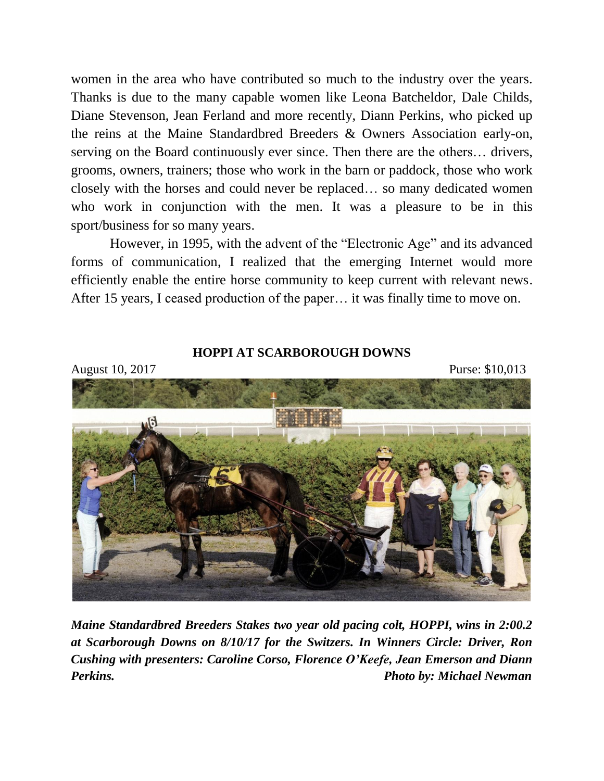women in the area who have contributed so much to the industry over the years. Thanks is due to the many capable women like Leona Batcheldor, Dale Childs, Diane Stevenson, Jean Ferland and more recently, Diann Perkins, who picked up the reins at the Maine Standardbred Breeders & Owners Association early-on, serving on the Board continuously ever since. Then there are the others… drivers, grooms, owners, trainers; those who work in the barn or paddock, those who work closely with the horses and could never be replaced… so many dedicated women who work in conjunction with the men. It was a pleasure to be in this sport/business for so many years.

However, in 1995, with the advent of the "Electronic Age" and its advanced forms of communication, I realized that the emerging Internet would more efficiently enable the entire horse community to keep current with relevant news. After 15 years, I ceased production of the paper… it was finally time to move on.



**HOPPI AT SCARBOROUGH DOWNS**

*Maine Standardbred Breeders Stakes two year old pacing colt, HOPPI, wins in 2:00.2 at Scarborough Downs on 8/10/17 for the Switzers. In Winners Circle: Driver, Ron Cushing with presenters: Caroline Corso, Florence O'Keefe, Jean Emerson and Diann Perkins. Photo by: Michael Newman*